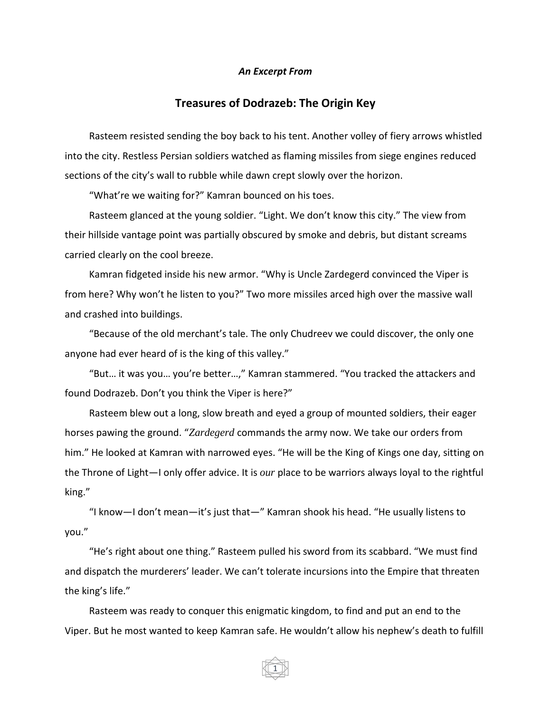## *An Excerpt From*

## **Treasures of Dodrazeb: The Origin Key**

Rasteem resisted sending the boy back to his tent. Another volley of fiery arrows whistled into the city. Restless Persian soldiers watched as flaming missiles from siege engines reduced sections of the city's wall to rubble while dawn crept slowly over the horizon.

"What're we waiting for?" Kamran bounced on his toes.

Rasteem glanced at the young soldier. "Light. We don't know this city." The view from their hillside vantage point was partially obscured by smoke and debris, but distant screams carried clearly on the cool breeze.

Kamran fidgeted inside his new armor. "Why is Uncle Zardegerd convinced the Viper is from here? Why won't he listen to you?" Two more missiles arced high over the massive wall and crashed into buildings.

"Because of the old merchant's tale. The only Chudreev we could discover, the only one anyone had ever heard of is the king of this valley."

"But… it was you… you're better…," Kamran stammered. "You tracked the attackers and found Dodrazeb. Don't you think the Viper is here?"

Rasteem blew out a long, slow breath and eyed a group of mounted soldiers, their eager horses pawing the ground. "*Zardegerd* commands the army now. We take our orders from him." He looked at Kamran with narrowed eyes. "He will be the King of Kings one day, sitting on the Throne of Light—I only offer advice. It is *our* place to be warriors always loyal to the rightful king."

"I know—I don't mean—it's just that—" Kamran shook his head. "He usually listens to you."

"He's right about one thing." Rasteem pulled his sword from its scabbard. "We must find and dispatch the murderers' leader. We can't tolerate incursions into the Empire that threaten the king's life."

Rasteem was ready to conquer this enigmatic kingdom, to find and put an end to the Viper. But he most wanted to keep Kamran safe. He wouldn't allow his nephew's death to fulfill

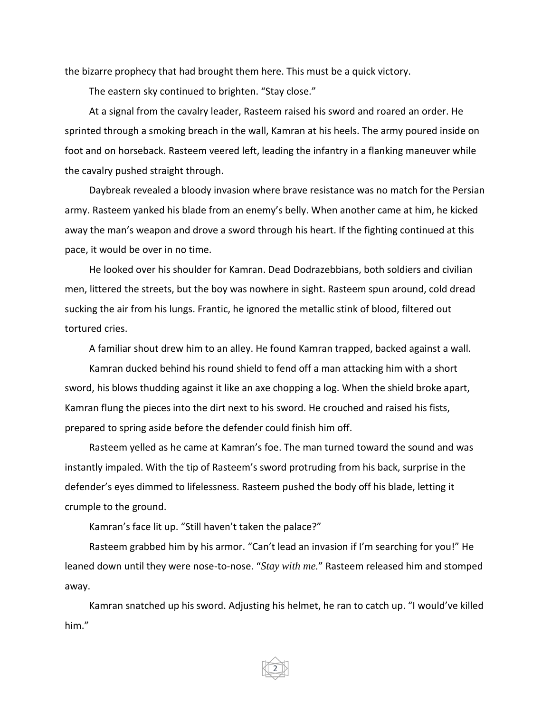the bizarre prophecy that had brought them here. This must be a quick victory.

The eastern sky continued to brighten. "Stay close."

At a signal from the cavalry leader, Rasteem raised his sword and roared an order. He sprinted through a smoking breach in the wall, Kamran at his heels. The army poured inside on foot and on horseback. Rasteem veered left, leading the infantry in a flanking maneuver while the cavalry pushed straight through.

Daybreak revealed a bloody invasion where brave resistance was no match for the Persian army. Rasteem yanked his blade from an enemy's belly. When another came at him, he kicked away the man's weapon and drove a sword through his heart. If the fighting continued at this pace, it would be over in no time.

He looked over his shoulder for Kamran. Dead Dodrazebbians, both soldiers and civilian men, littered the streets, but the boy was nowhere in sight. Rasteem spun around, cold dread sucking the air from his lungs. Frantic, he ignored the metallic stink of blood, filtered out tortured cries.

A familiar shout drew him to an alley. He found Kamran trapped, backed against a wall.

Kamran ducked behind his round shield to fend off a man attacking him with a short sword, his blows thudding against it like an axe chopping a log. When the shield broke apart, Kamran flung the pieces into the dirt next to his sword. He crouched and raised his fists, prepared to spring aside before the defender could finish him off.

Rasteem yelled as he came at Kamran's foe. The man turned toward the sound and was instantly impaled. With the tip of Rasteem's sword protruding from his back, surprise in the defender's eyes dimmed to lifelessness. Rasteem pushed the body off his blade, letting it crumple to the ground.

Kamran's face lit up. "Still haven't taken the palace?"

Rasteem grabbed him by his armor. "Can't lead an invasion if I'm searching for you!" He leaned down until they were nose-to-nose. "*Stay with me.*" Rasteem released him and stomped away.

Kamran snatched up his sword. Adjusting his helmet, he ran to catch up. "I would've killed him."

2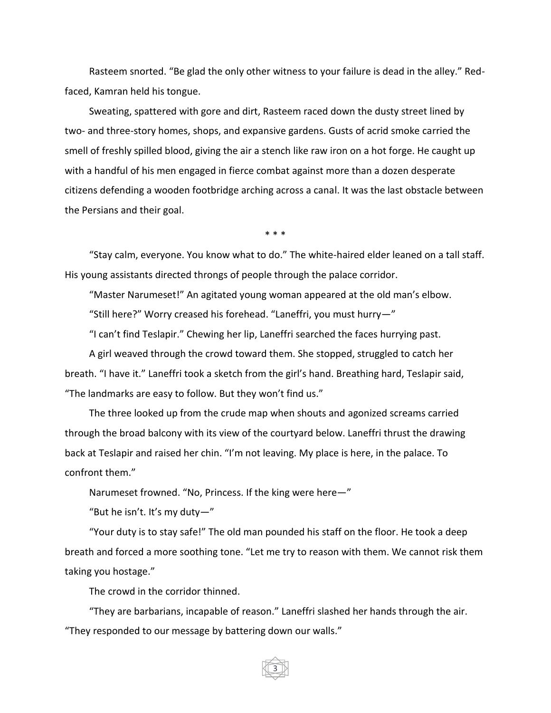Rasteem snorted. "Be glad the only other witness to your failure is dead in the alley." Redfaced, Kamran held his tongue.

Sweating, spattered with gore and dirt, Rasteem raced down the dusty street lined by two- and three-story homes, shops, and expansive gardens. Gusts of acrid smoke carried the smell of freshly spilled blood, giving the air a stench like raw iron on a hot forge. He caught up with a handful of his men engaged in fierce combat against more than a dozen desperate citizens defending a wooden footbridge arching across a canal. It was the last obstacle between the Persians and their goal.

\* \* \*

"Stay calm, everyone. You know what to do." The white-haired elder leaned on a tall staff. His young assistants directed throngs of people through the palace corridor.

"Master Narumeset!" An agitated young woman appeared at the old man's elbow.

"Still here?" Worry creased his forehead. "Laneffri, you must hurry—"

"I can't find Teslapir." Chewing her lip, Laneffri searched the faces hurrying past.

A girl weaved through the crowd toward them. She stopped, struggled to catch her breath. "I have it." Laneffri took a sketch from the girl's hand. Breathing hard, Teslapir said, "The landmarks are easy to follow. But they won't find us."

The three looked up from the crude map when shouts and agonized screams carried through the broad balcony with its view of the courtyard below. Laneffri thrust the drawing back at Teslapir and raised her chin. "I'm not leaving. My place is here, in the palace. To confront them."

Narumeset frowned. "No, Princess. If the king were here—"

"But he isn't. It's my duty-"

"Your duty is to stay safe!" The old man pounded his staff on the floor. He took a deep breath and forced a more soothing tone. "Let me try to reason with them. We cannot risk them taking you hostage."

The crowd in the corridor thinned.

"They are barbarians, incapable of reason." Laneffri slashed her hands through the air. "They responded to our message by battering down our walls."

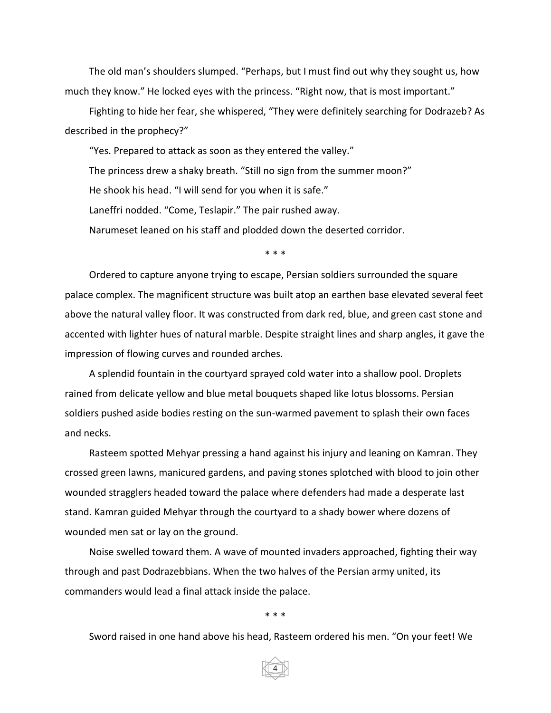The old man's shoulders slumped. "Perhaps, but I must find out why they sought us, how much they know." He locked eyes with the princess. "Right now, that is most important."

Fighting to hide her fear, she whispered, "They were definitely searching for Dodrazeb? As described in the prophecy?"

"Yes. Prepared to attack as soon as they entered the valley." The princess drew a shaky breath. "Still no sign from the summer moon?" He shook his head. "I will send for you when it is safe." Laneffri nodded. "Come, Teslapir." The pair rushed away. Narumeset leaned on his staff and plodded down the deserted corridor.

\* \* \*

Ordered to capture anyone trying to escape, Persian soldiers surrounded the square palace complex. The magnificent structure was built atop an earthen base elevated several feet above the natural valley floor. It was constructed from dark red, blue, and green cast stone and accented with lighter hues of natural marble. Despite straight lines and sharp angles, it gave the impression of flowing curves and rounded arches.

A splendid fountain in the courtyard sprayed cold water into a shallow pool. Droplets rained from delicate yellow and blue metal bouquets shaped like lotus blossoms. Persian soldiers pushed aside bodies resting on the sun-warmed pavement to splash their own faces and necks.

Rasteem spotted Mehyar pressing a hand against his injury and leaning on Kamran. They crossed green lawns, manicured gardens, and paving stones splotched with blood to join other wounded stragglers headed toward the palace where defenders had made a desperate last stand. Kamran guided Mehyar through the courtyard to a shady bower where dozens of wounded men sat or lay on the ground.

Noise swelled toward them. A wave of mounted invaders approached, fighting their way through and past Dodrazebbians. When the two halves of the Persian army united, its commanders would lead a final attack inside the palace.

\* \* \*

4

Sword raised in one hand above his head, Rasteem ordered his men. "On your feet! We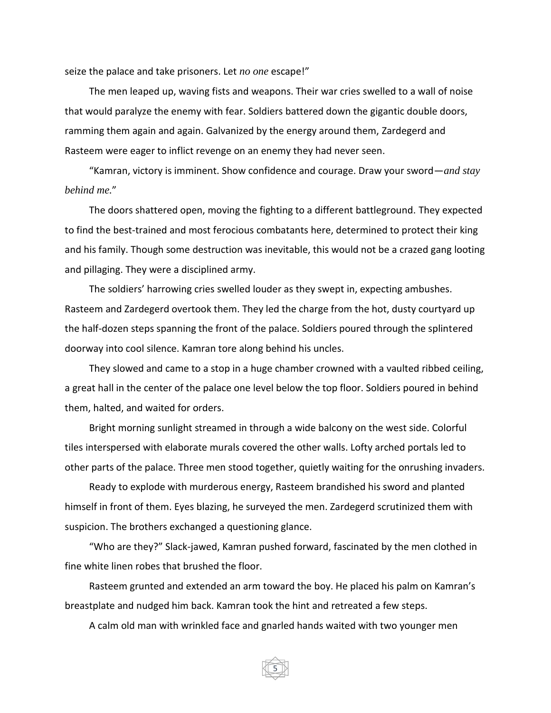seize the palace and take prisoners. Let *no one* escape!"

The men leaped up, waving fists and weapons. Their war cries swelled to a wall of noise that would paralyze the enemy with fear. Soldiers battered down the gigantic double doors, ramming them again and again. Galvanized by the energy around them, Zardegerd and Rasteem were eager to inflict revenge on an enemy they had never seen.

"Kamran, victory is imminent. Show confidence and courage. Draw your sword—*and stay behind me.*"

The doors shattered open, moving the fighting to a different battleground. They expected to find the best-trained and most ferocious combatants here, determined to protect their king and his family. Though some destruction was inevitable, this would not be a crazed gang looting and pillaging. They were a disciplined army.

The soldiers' harrowing cries swelled louder as they swept in, expecting ambushes. Rasteem and Zardegerd overtook them. They led the charge from the hot, dusty courtyard up the half-dozen steps spanning the front of the palace. Soldiers poured through the splintered doorway into cool silence. Kamran tore along behind his uncles.

They slowed and came to a stop in a huge chamber crowned with a vaulted ribbed ceiling, a great hall in the center of the palace one level below the top floor. Soldiers poured in behind them, halted, and waited for orders.

Bright morning sunlight streamed in through a wide balcony on the west side. Colorful tiles interspersed with elaborate murals covered the other walls. Lofty arched portals led to other parts of the palace. Three men stood together, quietly waiting for the onrushing invaders.

Ready to explode with murderous energy, Rasteem brandished his sword and planted himself in front of them. Eyes blazing, he surveyed the men. Zardegerd scrutinized them with suspicion. The brothers exchanged a questioning glance.

"Who are they?" Slack-jawed, Kamran pushed forward, fascinated by the men clothed in fine white linen robes that brushed the floor.

Rasteem grunted and extended an arm toward the boy. He placed his palm on Kamran's breastplate and nudged him back. Kamran took the hint and retreated a few steps.

A calm old man with wrinkled face and gnarled hands waited with two younger men

5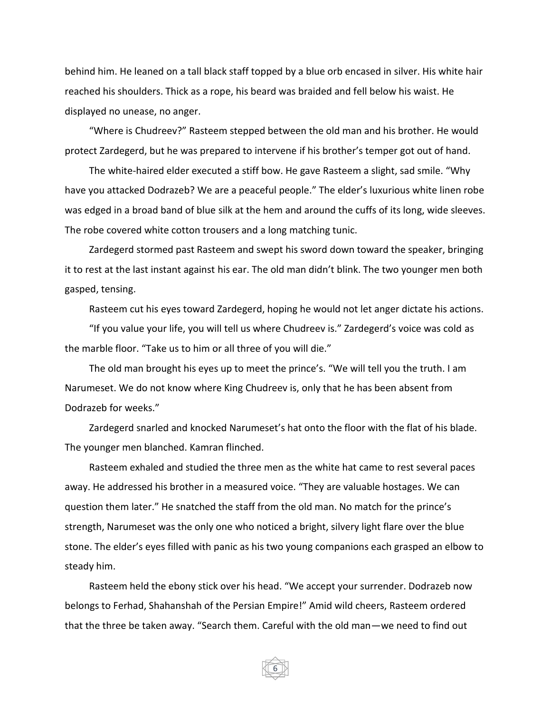behind him. He leaned on a tall black staff topped by a blue orb encased in silver. His white hair reached his shoulders. Thick as a rope, his beard was braided and fell below his waist. He displayed no unease, no anger.

"Where is Chudreev?" Rasteem stepped between the old man and his brother. He would protect Zardegerd, but he was prepared to intervene if his brother's temper got out of hand.

The white-haired elder executed a stiff bow. He gave Rasteem a slight, sad smile. "Why have you attacked Dodrazeb? We are a peaceful people." The elder's luxurious white linen robe was edged in a broad band of blue silk at the hem and around the cuffs of its long, wide sleeves. The robe covered white cotton trousers and a long matching tunic.

Zardegerd stormed past Rasteem and swept his sword down toward the speaker, bringing it to rest at the last instant against his ear. The old man didn't blink. The two younger men both gasped, tensing.

Rasteem cut his eyes toward Zardegerd, hoping he would not let anger dictate his actions.

"If you value your life, you will tell us where Chudreev is." Zardegerd's voice was cold as the marble floor. "Take us to him or all three of you will die."

The old man brought his eyes up to meet the prince's. "We will tell you the truth. I am Narumeset. We do not know where King Chudreev is, only that he has been absent from Dodrazeb for weeks."

Zardegerd snarled and knocked Narumeset's hat onto the floor with the flat of his blade. The younger men blanched. Kamran flinched.

Rasteem exhaled and studied the three men as the white hat came to rest several paces away. He addressed his brother in a measured voice. "They are valuable hostages. We can question them later." He snatched the staff from the old man. No match for the prince's strength, Narumeset was the only one who noticed a bright, silvery light flare over the blue stone. The elder's eyes filled with panic as his two young companions each grasped an elbow to steady him.

Rasteem held the ebony stick over his head. "We accept your surrender. Dodrazeb now belongs to Ferhad, Shahanshah of the Persian Empire!" Amid wild cheers, Rasteem ordered that the three be taken away. "Search them. Careful with the old man—we need to find out

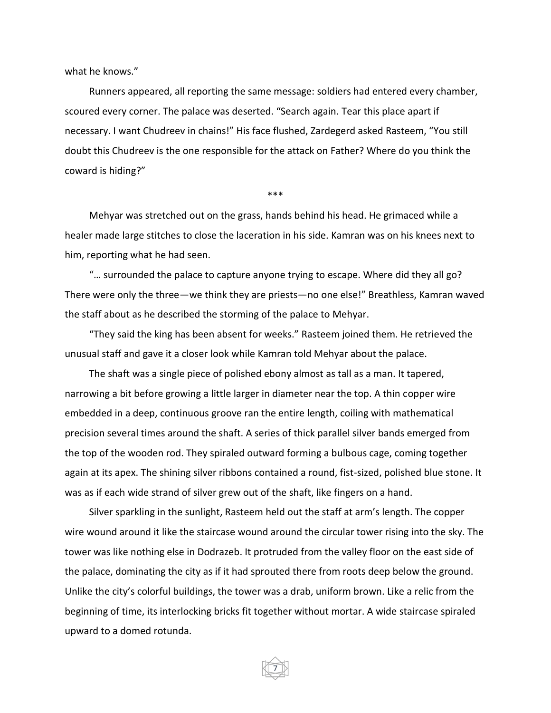what he knows."

Runners appeared, all reporting the same message: soldiers had entered every chamber, scoured every corner. The palace was deserted. "Search again. Tear this place apart if necessary. I want Chudreev in chains!" His face flushed, Zardegerd asked Rasteem, "You still doubt this Chudreev is the one responsible for the attack on Father? Where do you think the coward is hiding?"

\*\*\*

Mehyar was stretched out on the grass, hands behind his head. He grimaced while a healer made large stitches to close the laceration in his side. Kamran was on his knees next to him, reporting what he had seen.

"… surrounded the palace to capture anyone trying to escape. Where did they all go? There were only the three—we think they are priests—no one else!" Breathless, Kamran waved the staff about as he described the storming of the palace to Mehyar.

"They said the king has been absent for weeks." Rasteem joined them. He retrieved the unusual staff and gave it a closer look while Kamran told Mehyar about the palace.

The shaft was a single piece of polished ebony almost as tall as a man. It tapered, narrowing a bit before growing a little larger in diameter near the top. A thin copper wire embedded in a deep, continuous groove ran the entire length, coiling with mathematical precision several times around the shaft. A series of thick parallel silver bands emerged from the top of the wooden rod. They spiraled outward forming a bulbous cage, coming together again at its apex. The shining silver ribbons contained a round, fist-sized, polished blue stone. It was as if each wide strand of silver grew out of the shaft, like fingers on a hand.

Silver sparkling in the sunlight, Rasteem held out the staff at arm's length. The copper wire wound around it like the staircase wound around the circular tower rising into the sky. The tower was like nothing else in Dodrazeb. It protruded from the valley floor on the east side of the palace, dominating the city as if it had sprouted there from roots deep below the ground. Unlike the city's colorful buildings, the tower was a drab, uniform brown. Like a relic from the beginning of time, its interlocking bricks fit together without mortar. A wide staircase spiraled upward to a domed rotunda.

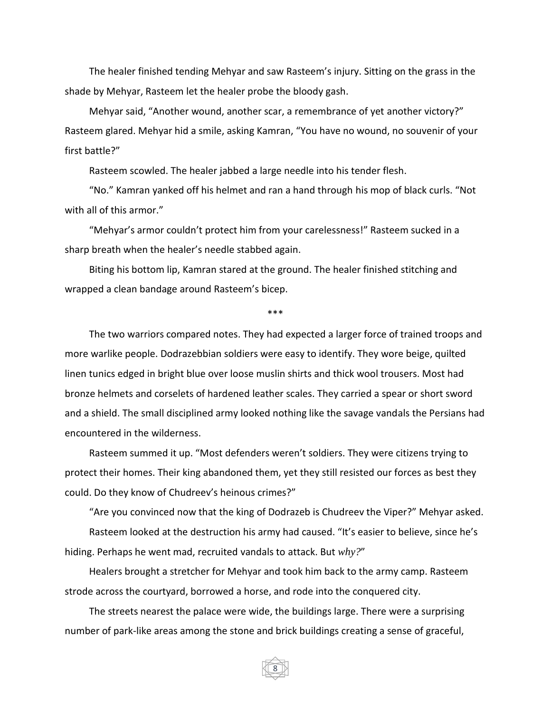The healer finished tending Mehyar and saw Rasteem's injury. Sitting on the grass in the shade by Mehyar, Rasteem let the healer probe the bloody gash.

Mehyar said, "Another wound, another scar, a remembrance of yet another victory?" Rasteem glared. Mehyar hid a smile, asking Kamran, "You have no wound, no souvenir of your first battle?"

Rasteem scowled. The healer jabbed a large needle into his tender flesh.

"No." Kamran yanked off his helmet and ran a hand through his mop of black curls. "Not with all of this armor."

"Mehyar's armor couldn't protect him from your carelessness!" Rasteem sucked in a sharp breath when the healer's needle stabbed again.

Biting his bottom lip, Kamran stared at the ground. The healer finished stitching and wrapped a clean bandage around Rasteem's bicep.

\*\*\*

The two warriors compared notes. They had expected a larger force of trained troops and more warlike people. Dodrazebbian soldiers were easy to identify. They wore beige, quilted linen tunics edged in bright blue over loose muslin shirts and thick wool trousers. Most had bronze helmets and corselets of hardened leather scales. They carried a spear or short sword and a shield. The small disciplined army looked nothing like the savage vandals the Persians had encountered in the wilderness.

Rasteem summed it up. "Most defenders weren't soldiers. They were citizens trying to protect their homes. Their king abandoned them, yet they still resisted our forces as best they could. Do they know of Chudreev's heinous crimes?"

"Are you convinced now that the king of Dodrazeb is Chudreev the Viper?" Mehyar asked.

Rasteem looked at the destruction his army had caused. "It's easier to believe, since he's hiding. Perhaps he went mad, recruited vandals to attack. But *why?*"

Healers brought a stretcher for Mehyar and took him back to the army camp. Rasteem strode across the courtyard, borrowed a horse, and rode into the conquered city.

The streets nearest the palace were wide, the buildings large. There were a surprising number of park-like areas among the stone and brick buildings creating a sense of graceful,

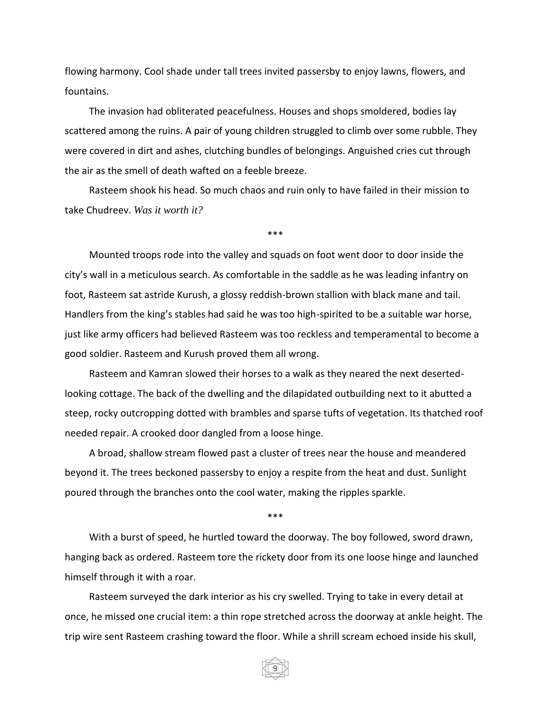flowing harmony. Cool shade under tall trees invited passersby to enjoy lawns, flowers, and fountains.

The invasion had obliterated peacefulness. Houses and shops smoldered, bodies lay scattered among the ruins. A pair of young children struggled to climb over some rubble. They were covered in dirt and ashes, clutching bundles of belongings. Anguished cries cut through the air as the smell of death wafted on a feeble breeze.

Rasteem shook his head. So much chaos and ruin only to have failed in their mission to take Chudreev. *Was it worth it?*

\*\*\*

Mounted troops rode into the valley and squads on foot went door to door inside the city's wall in a meticulous search. As comfortable in the saddle as he was leading infantry on foot, Rasteem sat astride Kurush, a glossy reddish-brown stallion with black mane and tail. Handlers from the king's stables had said he was too high-spirited to be a suitable war horse, just like army officers had believed Rasteem was too reckless and temperamental to become a good soldier. Rasteem and Kurush proved them all wrong.

Rasteem and Kamran slowed their horses to a walk as they neared the next desertedlooking cottage. The back of the dwelling and the dilapidated outbuilding next to it abutted a steep, rocky outcropping dotted with brambles and sparse tufts of vegetation. Its thatched roof needed repair. A crooked door dangled from a loose hinge.

A broad, shallow stream flowed past a cluster of trees near the house and meandered beyond it. The trees beckoned passersby to enjoy a respite from the heat and dust. Sunlight poured through the branches onto the cool water, making the ripples sparkle.

\*\*\*

With a burst of speed, he hurtled toward the doorway. The boy followed, sword drawn, hanging back as ordered. Rasteem tore the rickety door from its one loose hinge and launched himself through it with a roar.

Rasteem surveyed the dark interior as his cry swelled. Trying to take in every detail at once, he missed one crucial item: a thin rope stretched across the doorway at ankle height. The trip wire sent Rasteem crashing toward the floor. While a shrill scream echoed inside his skull,

9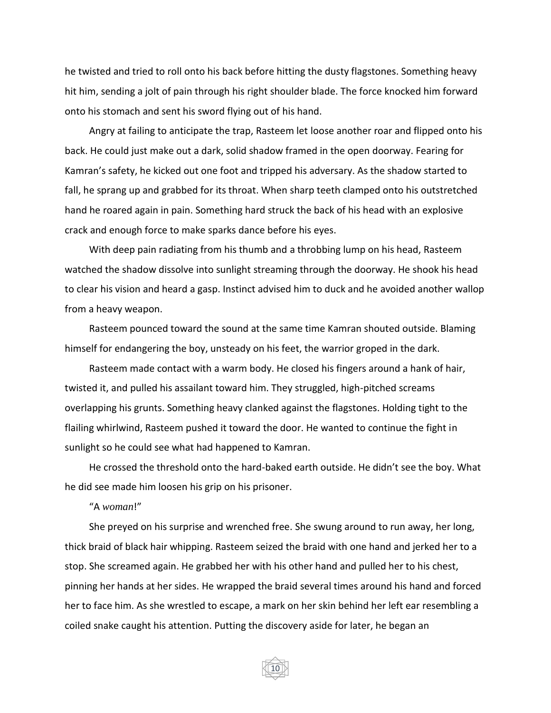he twisted and tried to roll onto his back before hitting the dusty flagstones. Something heavy hit him, sending a jolt of pain through his right shoulder blade. The force knocked him forward onto his stomach and sent his sword flying out of his hand.

Angry at failing to anticipate the trap, Rasteem let loose another roar and flipped onto his back. He could just make out a dark, solid shadow framed in the open doorway. Fearing for Kamran's safety, he kicked out one foot and tripped his adversary. As the shadow started to fall, he sprang up and grabbed for its throat. When sharp teeth clamped onto his outstretched hand he roared again in pain. Something hard struck the back of his head with an explosive crack and enough force to make sparks dance before his eyes.

With deep pain radiating from his thumb and a throbbing lump on his head, Rasteem watched the shadow dissolve into sunlight streaming through the doorway. He shook his head to clear his vision and heard a gasp. Instinct advised him to duck and he avoided another wallop from a heavy weapon.

Rasteem pounced toward the sound at the same time Kamran shouted outside. Blaming himself for endangering the boy, unsteady on his feet, the warrior groped in the dark.

Rasteem made contact with a warm body. He closed his fingers around a hank of hair, twisted it, and pulled his assailant toward him. They struggled, high-pitched screams overlapping his grunts. Something heavy clanked against the flagstones. Holding tight to the flailing whirlwind, Rasteem pushed it toward the door. He wanted to continue the fight in sunlight so he could see what had happened to Kamran.

He crossed the threshold onto the hard-baked earth outside. He didn't see the boy. What he did see made him loosen his grip on his prisoner.

## "A *woman*!"

She preyed on his surprise and wrenched free. She swung around to run away, her long, thick braid of black hair whipping. Rasteem seized the braid with one hand and jerked her to a stop. She screamed again. He grabbed her with his other hand and pulled her to his chest, pinning her hands at her sides. He wrapped the braid several times around his hand and forced her to face him. As she wrestled to escape, a mark on her skin behind her left ear resembling a coiled snake caught his attention. Putting the discovery aside for later, he began an

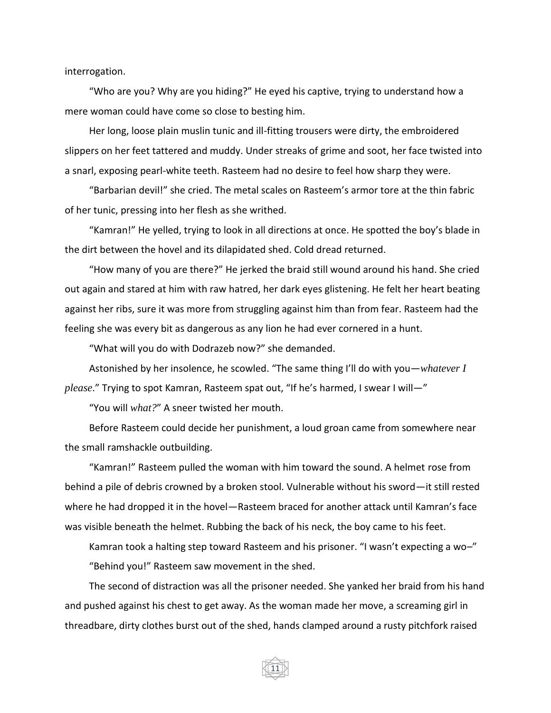interrogation.

"Who are you? Why are you hiding?" He eyed his captive, trying to understand how a mere woman could have come so close to besting him.

Her long, loose plain muslin tunic and ill-fitting trousers were dirty, the embroidered slippers on her feet tattered and muddy. Under streaks of grime and soot, her face twisted into a snarl, exposing pearl-white teeth. Rasteem had no desire to feel how sharp they were.

"Barbarian devil!" she cried. The metal scales on Rasteem's armor tore at the thin fabric of her tunic, pressing into her flesh as she writhed.

"Kamran!" He yelled, trying to look in all directions at once. He spotted the boy's blade in the dirt between the hovel and its dilapidated shed. Cold dread returned.

"How many of you are there?" He jerked the braid still wound around his hand. She cried out again and stared at him with raw hatred, her dark eyes glistening. He felt her heart beating against her ribs, sure it was more from struggling against him than from fear. Rasteem had the feeling she was every bit as dangerous as any lion he had ever cornered in a hunt.

"What will you do with Dodrazeb now?" she demanded.

Astonished by her insolence, he scowled. "The same thing I'll do with you—*whatever I please*." Trying to spot Kamran, Rasteem spat out, "If he's harmed, I swear I will—"

"You will *what?*" A sneer twisted her mouth.

Before Rasteem could decide her punishment, a loud groan came from somewhere near the small ramshackle outbuilding.

"Kamran!" Rasteem pulled the woman with him toward the sound. A helmet rose from behind a pile of debris crowned by a broken stool. Vulnerable without his sword—it still rested where he had dropped it in the hovel—Rasteem braced for another attack until Kamran's face was visible beneath the helmet. Rubbing the back of his neck, the boy came to his feet.

Kamran took a halting step toward Rasteem and his prisoner. "I wasn't expecting a wo–" "Behind you!" Rasteem saw movement in the shed.

The second of distraction was all the prisoner needed. She yanked her braid from his hand and pushed against his chest to get away. As the woman made her move, a screaming girl in threadbare, dirty clothes burst out of the shed, hands clamped around a rusty pitchfork raised